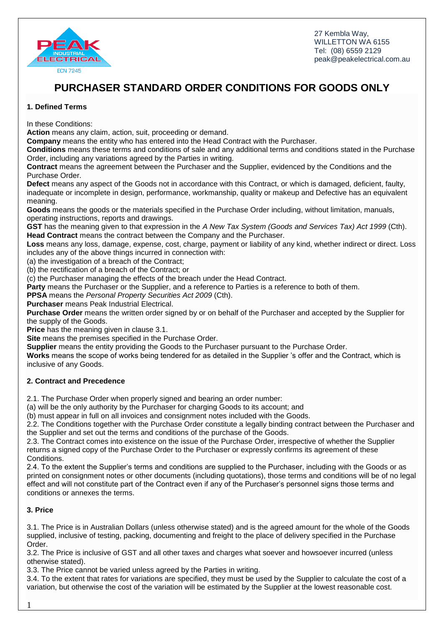

# **PURCHASER STANDARD ORDER CONDITIONS FOR GOODS ONLY**

# **1. Defined Terms**

In these Conditions:

**Action** means any claim, action, suit, proceeding or demand.

**Company** means the entity who has entered into the Head Contract with the Purchaser.

**Conditions** means these terms and conditions of sale and any additional terms and conditions stated in the Purchase Order, including any variations agreed by the Parties in writing.

**Contract** means the agreement between the Purchaser and the Supplier, evidenced by the Conditions and the Purchase Order.

**Defect** means any aspect of the Goods not in accordance with this Contract, or which is damaged, deficient, faulty, inadequate or incomplete in design, performance, workmanship, quality or makeup and Defective has an equivalent meaning.

**Goods** means the goods or the materials specified in the Purchase Order including, without limitation, manuals, operating instructions, reports and drawings.

**GST** has the meaning given to that expression in the *A New Tax System (Goods and Services Tax) Act 1999* (Cth). **Head Contract** means the contract between the Company and the Purchaser.

**Loss** means any loss, damage, expense, cost, charge, payment or liability of any kind, whether indirect or direct. Loss includes any of the above things incurred in connection with:

(a) the investigation of a breach of the Contract;

(b) the rectification of a breach of the Contract; or

(c) the Purchaser managing the effects of the breach under the Head Contract.

**Party** means the Purchaser or the Supplier, and a reference to Parties is a reference to both of them.

**PPSA** means the *Personal Property Securities Act 2009* (Cth).

**Purchaser** means Peak Industrial Electrical.

**Purchase Order** means the written order signed by or on behalf of the Purchaser and accepted by the Supplier for the supply of the Goods.

**Price** has the meaning given in clause 3.1.

**Site** means the premises specified in the Purchase Order.

**Supplier** means the entity providing the Goods to the Purchaser pursuant to the Purchase Order.

**Works** means the scope of works being tendered for as detailed in the Supplier 's offer and the Contract, which is inclusive of any Goods.

# **2. Contract and Precedence**

2.1. The Purchase Order when properly signed and bearing an order number:

(a) will be the only authority by the Purchaser for charging Goods to its account; and

(b) must appear in full on all invoices and consignment notes included with the Goods.

2.2. The Conditions together with the Purchase Order constitute a legally binding contract between the Purchaser and the Supplier and set out the terms and conditions of the purchase of the Goods.

2.3. The Contract comes into existence on the issue of the Purchase Order, irrespective of whether the Supplier returns a signed copy of the Purchase Order to the Purchaser or expressly confirms its agreement of these Conditions.

2.4. To the extent the Supplier's terms and conditions are supplied to the Purchaser, including with the Goods or as printed on consignment notes or other documents (including quotations), those terms and conditions will be of no legal effect and will not constitute part of the Contract even if any of the Purchaser's personnel signs those terms and conditions or annexes the terms.

# **3. Price**

3.1. The Price is in Australian Dollars (unless otherwise stated) and is the agreed amount for the whole of the Goods supplied, inclusive of testing, packing, documenting and freight to the place of delivery specified in the Purchase Order.

3.2. The Price is inclusive of GST and all other taxes and charges what soever and howsoever incurred (unless otherwise stated).

3.3. The Price cannot be varied unless agreed by the Parties in writing.

3.4. To the extent that rates for variations are specified, they must be used by the Supplier to calculate the cost of a variation, but otherwise the cost of the variation will be estimated by the Supplier at the lowest reasonable cost.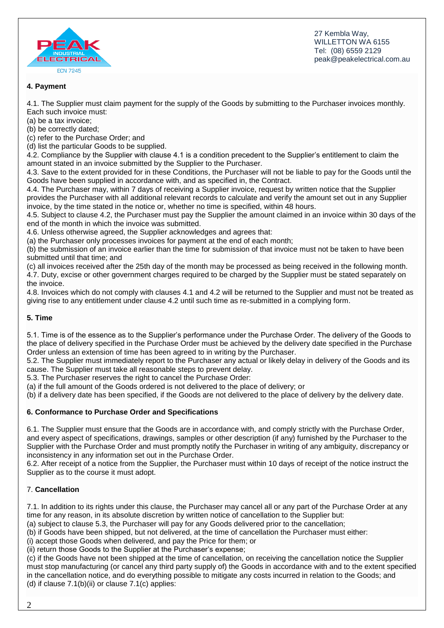

# **4. Payment**

4.1. The Supplier must claim payment for the supply of the Goods by submitting to the Purchaser invoices monthly. Each such invoice must:

(a) be a tax invoice;

(b) be correctly dated;

(c) refer to the Purchase Order; and

(d) list the particular Goods to be supplied.

4.2. Compliance by the Supplier with clause 4.1 is a condition precedent to the Supplier's entitlement to claim the amount stated in an invoice submitted by the Supplier to the Purchaser.

4.3. Save to the extent provided for in these Conditions, the Purchaser will not be liable to pay for the Goods until the Goods have been supplied in accordance with, and as specified in, the Contract.

4.4. The Purchaser may, within 7 days of receiving a Supplier invoice, request by written notice that the Supplier provides the Purchaser with all additional relevant records to calculate and verify the amount set out in any Supplier invoice, by the time stated in the notice or, whether no time is specified, within 48 hours.

4.5. Subject to clause 4.2, the Purchaser must pay the Supplier the amount claimed in an invoice within 30 days of the end of the month in which the invoice was submitted.

4.6. Unless otherwise agreed, the Supplier acknowledges and agrees that:

(a) the Purchaser only processes invoices for payment at the end of each month;

(b) the submission of an invoice earlier than the time for submission of that invoice must not be taken to have been submitted until that time; and

(c) all invoices received after the 25th day of the month may be processed as being received in the following month. 4.7. Duty, excise or other government charges required to be charged by the Supplier must be stated separately on the invoice.

4.8. Invoices which do not comply with clauses 4.1 and 4.2 will be returned to the Supplier and must not be treated as giving rise to any entitlement under clause 4.2 until such time as re-submitted in a complying form.

## **5. Time**

5.1. Time is of the essence as to the Supplier's performance under the Purchase Order. The delivery of the Goods to the place of delivery specified in the Purchase Order must be achieved by the delivery date specified in the Purchase Order unless an extension of time has been agreed to in writing by the Purchaser.

5.2. The Supplier must immediately report to the Purchaser any actual or likely delay in delivery of the Goods and its cause. The Supplier must take all reasonable steps to prevent delay.

5.3. The Purchaser reserves the right to cancel the Purchase Order:

(a) if the full amount of the Goods ordered is not delivered to the place of delivery; or

(b) if a delivery date has been specified, if the Goods are not delivered to the place of delivery by the delivery date.

## **6. Conformance to Purchase Order and Specifications**

6.1. The Supplier must ensure that the Goods are in accordance with, and comply strictly with the Purchase Order, and every aspect of specifications, drawings, samples or other description (if any) furnished by the Purchaser to the Supplier with the Purchase Order and must promptly notify the Purchaser in writing of any ambiguity, discrepancy or inconsistency in any information set out in the Purchase Order.

6.2. After receipt of a notice from the Supplier, the Purchaser must within 10 days of receipt of the notice instruct the Supplier as to the course it must adopt.

## 7. **Cancellation**

7.1. In addition to its rights under this clause, the Purchaser may cancel all or any part of the Purchase Order at any time for any reason, in its absolute discretion by written notice of cancellation to the Supplier but:

(a) subject to clause 5.3, the Purchaser will pay for any Goods delivered prior to the cancellation;

(b) if Goods have been shipped, but not delivered, at the time of cancellation the Purchaser must either:

(i) accept those Goods when delivered, and pay the Price for them; or

(ii) return those Goods to the Supplier at the Purchaser's expense;

(c) if the Goods have not been shipped at the time of cancellation, on receiving the cancellation notice the Supplier must stop manufacturing (or cancel any third party supply of) the Goods in accordance with and to the extent specified in the cancellation notice, and do everything possible to mitigate any costs incurred in relation to the Goods; and (d) if clause 7.1(b)(ii) or clause 7.1(c) applies: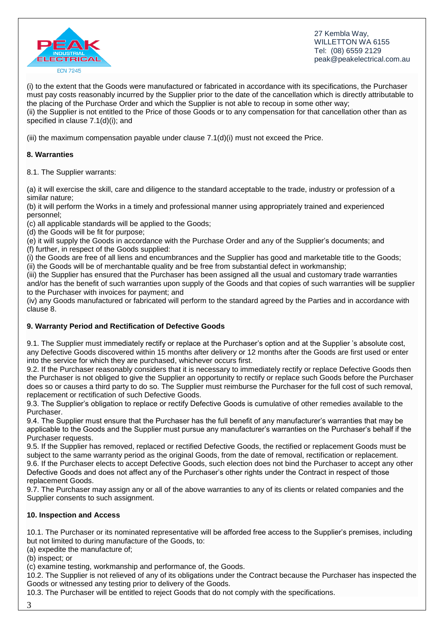

(i) to the extent that the Goods were manufactured or fabricated in accordance with its specifications, the Purchaser must pay costs reasonably incurred by the Supplier prior to the date of the cancellation which is directly attributable to the placing of the Purchase Order and which the Supplier is not able to recoup in some other way; (ii) the Supplier is not entitled to the Price of those Goods or to any compensation for that cancellation other than as specified in clause 7.1(d)(i); and

(iii) the maximum compensation payable under clause  $7.1(d)(i)$  must not exceed the Price.

## **8. Warranties**

8.1. The Supplier warrants:

(a) it will exercise the skill, care and diligence to the standard acceptable to the trade, industry or profession of a similar nature;

(b) it will perform the Works in a timely and professional manner using appropriately trained and experienced personnel;

(c) all applicable standards will be applied to the Goods;

(d) the Goods will be fit for purpose;

(e) it will supply the Goods in accordance with the Purchase Order and any of the Supplier's documents; and (f) further, in respect of the Goods supplied:

(i) the Goods are free of all liens and encumbrances and the Supplier has good and marketable title to the Goods; (ii) the Goods will be of merchantable quality and be free from substantial defect in workmanship;

(iii) the Supplier has ensured that the Purchaser has been assigned all the usual and customary trade warranties and/or has the benefit of such warranties upon supply of the Goods and that copies of such warranties will be supplier to the Purchaser with invoices for payment; and

(iv) any Goods manufactured or fabricated will perform to the standard agreed by the Parties and in accordance with clause 8.

## **9. Warranty Period and Rectification of Defective Goods**

9.1. The Supplier must immediately rectify or replace at the Purchaser's option and at the Supplier 's absolute cost, any Defective Goods discovered within 15 months after delivery or 12 months after the Goods are first used or enter into the service for which they are purchased, whichever occurs first.

9.2. If the Purchaser reasonably considers that it is necessary to immediately rectify or replace Defective Goods then the Purchaser is not obliged to give the Supplier an opportunity to rectify or replace such Goods before the Purchaser does so or causes a third party to do so. The Supplier must reimburse the Purchaser for the full cost of such removal, replacement or rectification of such Defective Goods.

9.3. The Supplier's obligation to replace or rectify Defective Goods is cumulative of other remedies available to the Purchaser.

9.4. The Supplier must ensure that the Purchaser has the full benefit of any manufacturer's warranties that may be applicable to the Goods and the Supplier must pursue any manufacturer's warranties on the Purchaser's behalf if the Purchaser requests.

9.5. If the Supplier has removed, replaced or rectified Defective Goods, the rectified or replacement Goods must be subject to the same warranty period as the original Goods, from the date of removal, rectification or replacement. 9.6. If the Purchaser elects to accept Defective Goods, such election does not bind the Purchaser to accept any other Defective Goods and does not affect any of the Purchaser's other rights under the Contract in respect of those replacement Goods.

9.7. The Purchaser may assign any or all of the above warranties to any of its clients or related companies and the Supplier consents to such assignment.

## **10. Inspection and Access**

10.1. The Purchaser or its nominated representative will be afforded free access to the Supplier's premises, including but not limited to during manufacture of the Goods, to:

(a) expedite the manufacture of;

(b) inspect; or

(c) examine testing, workmanship and performance of, the Goods.

10.2. The Supplier is not relieved of any of its obligations under the Contract because the Purchaser has inspected the Goods or witnessed any testing prior to delivery of the Goods.

10.3. The Purchaser will be entitled to reject Goods that do not comply with the specifications.

3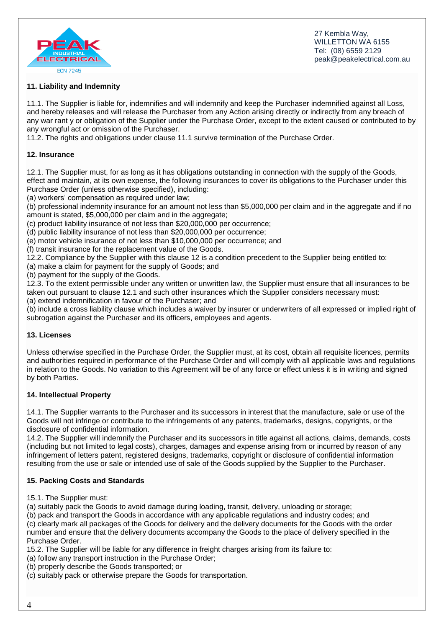



## **11. Liability and Indemnity**

11.1. The Supplier is liable for, indemnifies and will indemnify and keep the Purchaser indemnified against all Loss, and hereby releases and will release the Purchaser from any Action arising directly or indirectly from any breach of any war rant y or obligation of the Supplier under the Purchase Order, except to the extent caused or contributed to by any wrongful act or omission of the Purchaser.

11.2. The rights and obligations under clause 11.1 survive termination of the Purchase Order.

#### **12. Insurance**

12.1. The Supplier must, for as long as it has obligations outstanding in connection with the supply of the Goods, effect and maintain, at its own expense, the following insurances to cover its obligations to the Purchaser under this Purchase Order (unless otherwise specified), including:

(a) workers' compensation as required under law;

(b) professional indemnity insurance for an amount not less than \$5,000,000 per claim and in the aggregate and if no amount is stated, \$5,000,000 per claim and in the aggregate;

(c) product liability insurance of not less than \$20,000,000 per occurrence;

(d) public liability insurance of not less than \$20,000,000 per occurrence;

(e) motor vehicle insurance of not less than \$10,000,000 per occurrence; and

(f) transit insurance for the replacement value of the Goods.

12.2. Compliance by the Supplier with this clause 12 is a condition precedent to the Supplier being entitled to:

(a) make a claim for payment for the supply of Goods; and

(b) payment for the supply of the Goods.

12.3. To the extent permissible under any written or unwritten law, the Supplier must ensure that all insurances to be taken out pursuant to clause 12.1 and such other insurances which the Supplier considers necessary must: (a) extend indemnification in favour of the Purchaser; and

(b) include a cross liability clause which includes a waiver by insurer or underwriters of all expressed or implied right of subrogation against the Purchaser and its officers, employees and agents.

#### **13. Licenses**

Unless otherwise specified in the Purchase Order, the Supplier must, at its cost, obtain all requisite licences, permits and authorities required in performance of the Purchase Order and will comply with all applicable laws and regulations in relation to the Goods. No variation to this Agreement will be of any force or effect unless it is in writing and signed by both Parties.

#### **14. Intellectual Property**

14.1. The Supplier warrants to the Purchaser and its successors in interest that the manufacture, sale or use of the Goods will not infringe or contribute to the infringements of any patents, trademarks, designs, copyrights, or the disclosure of confidential information.

14.2. The Supplier will indemnify the Purchaser and its successors in title against all actions, claims, demands, costs (including but not limited to legal costs), charges, damages and expense arising from or incurred by reason of any infringement of letters patent, registered designs, trademarks, copyright or disclosure of confidential information resulting from the use or sale or intended use of sale of the Goods supplied by the Supplier to the Purchaser.

#### **15. Packing Costs and Standards**

15.1. The Supplier must:

(a) suitably pack the Goods to avoid damage during loading, transit, delivery, unloading or storage;

(b) pack and transport the Goods in accordance with any applicable regulations and industry codes; and (c) clearly mark all packages of the Goods for delivery and the delivery documents for the Goods with the order number and ensure that the delivery documents accompany the Goods to the place of delivery specified in the Purchase Order.

15.2. The Supplier will be liable for any difference in freight charges arising from its failure to:

(a) follow any transport instruction in the Purchase Order;

(b) properly describe the Goods transported; or

(c) suitably pack or otherwise prepare the Goods for transportation.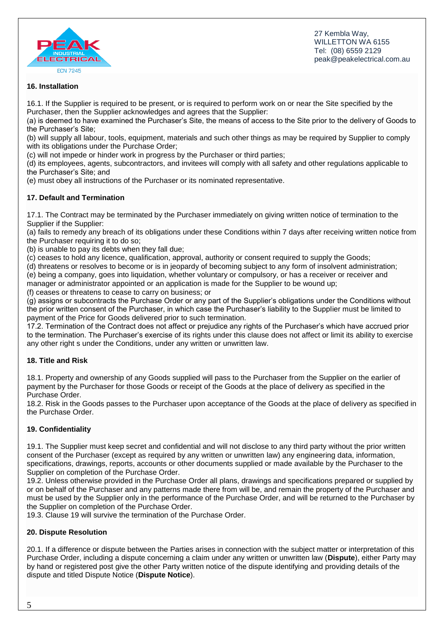

## **16. Installation**

16.1. If the Supplier is required to be present, or is required to perform work on or near the Site specified by the Purchaser, then the Supplier acknowledges and agrees that the Supplier:

(a) is deemed to have examined the Purchaser's Site, the means of access to the Site prior to the delivery of Goods to the Purchaser's Site;

(b) will supply all labour, tools, equipment, materials and such other things as may be required by Supplier to comply with its obligations under the Purchase Order;

(c) will not impede or hinder work in progress by the Purchaser or third parties;

(d) its employees, agents, subcontractors, and invitees will comply with all safety and other regulations applicable to the Purchaser's Site; and

(e) must obey all instructions of the Purchaser or its nominated representative.

## **17. Default and Termination**

17.1. The Contract may be terminated by the Purchaser immediately on giving written notice of termination to the Supplier if the Supplier:

(a) fails to remedy any breach of its obligations under these Conditions within 7 days after receiving written notice from the Purchaser requiring it to do so;

(b) is unable to pay its debts when they fall due;

(c) ceases to hold any licence, qualification, approval, authority or consent required to supply the Goods;

(d) threatens or resolves to become or is in jeopardy of becoming subject to any form of insolvent administration;

(e) being a company, goes into liquidation, whether voluntary or compulsory, or has a receiver or receiver and manager or administrator appointed or an application is made for the Supplier to be wound up;

(f) ceases or threatens to cease to carry on business; or

(g) assigns or subcontracts the Purchase Order or any part of the Supplier's obligations under the Conditions without the prior written consent of the Purchaser, in which case the Purchaser's liability to the Supplier must be limited to payment of the Price for Goods delivered prior to such termination.

17.2. Termination of the Contract does not affect or prejudice any rights of the Purchaser's which have accrued prior to the termination. The Purchaser's exercise of its rights under this clause does not affect or limit its ability to exercise any other right s under the Conditions, under any written or unwritten law.

## **18. Title and Risk**

18.1. Property and ownership of any Goods supplied will pass to the Purchaser from the Supplier on the earlier of payment by the Purchaser for those Goods or receipt of the Goods at the place of delivery as specified in the Purchase Order.

18.2. Risk in the Goods passes to the Purchaser upon acceptance of the Goods at the place of delivery as specified in the Purchase Order.

## **19. Confidentiality**

19.1. The Supplier must keep secret and confidential and will not disclose to any third party without the prior written consent of the Purchaser (except as required by any written or unwritten law) any engineering data, information, specifications, drawings, reports, accounts or other documents supplied or made available by the Purchaser to the Supplier on completion of the Purchase Order.

19.2. Unless otherwise provided in the Purchase Order all plans, drawings and specifications prepared or supplied by or on behalf of the Purchaser and any patterns made there from will be, and remain the property of the Purchaser and must be used by the Supplier only in the performance of the Purchase Order, and will be returned to the Purchaser by the Supplier on completion of the Purchase Order.

19.3. Clause 19 will survive the termination of the Purchase Order.

## **20. Dispute Resolution**

20.1. If a difference or dispute between the Parties arises in connection with the subject matter or interpretation of this Purchase Order, including a dispute concerning a claim under any written or unwritten law (**Dispute**), either Party may by hand or registered post give the other Party written notice of the dispute identifying and providing details of the dispute and titled Dispute Notice (**Dispute Notice**).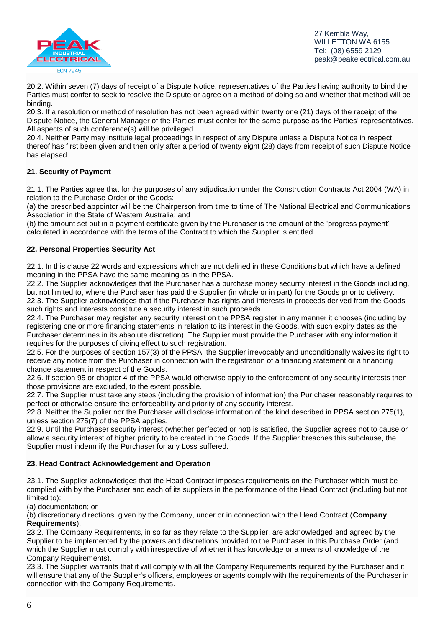

20.2. Within seven (7) days of receipt of a Dispute Notice, representatives of the Parties having authority to bind the Parties must confer to seek to resolve the Dispute or agree on a method of doing so and whether that method will be binding.

20.3. If a resolution or method of resolution has not been agreed within twenty one (21) days of the receipt of the Dispute Notice, the General Manager of the Parties must confer for the same purpose as the Parties' representatives. All aspects of such conference(s) will be privileged.

20.4. Neither Party may institute legal proceedings in respect of any Dispute unless a Dispute Notice in respect thereof has first been given and then only after a period of twenty eight (28) days from receipt of such Dispute Notice has elapsed.

# **21. Security of Payment**

21.1. The Parties agree that for the purposes of any adjudication under the Construction Contracts Act 2004 (WA) in relation to the Purchase Order or the Goods:

(a) the prescribed appointor will be the Chairperson from time to time of The National Electrical and Communications Association in the State of Western Australia; and

(b) the amount set out in a payment certificate given by the Purchaser is the amount of the 'progress payment' calculated in accordance with the terms of the Contract to which the Supplier is entitled.

# **22. Personal Properties Security Act**

22.1. In this clause 22 words and expressions which are not defined in these Conditions but which have a defined meaning in the PPSA have the same meaning as in the PPSA.

22.2. The Supplier acknowledges that the Purchaser has a purchase money security interest in the Goods including, but not limited to, where the Purchaser has paid the Supplier (in whole or in part) for the Goods prior to delivery. 22.3. The Supplier acknowledges that if the Purchaser has rights and interests in proceeds derived from the Goods such rights and interests constitute a security interest in such proceeds.

22.4. The Purchaser may register any security interest on the PPSA register in any manner it chooses (including by registering one or more financing statements in relation to its interest in the Goods, with such expiry dates as the Purchaser determines in its absolute discretion). The Supplier must provide the Purchaser with any information it requires for the purposes of giving effect to such registration.

22.5. For the purposes of section 157(3) of the PPSA, the Supplier irrevocably and unconditionally waives its right to receive any notice from the Purchaser in connection with the registration of a financing statement or a financing change statement in respect of the Goods.

22.6. If section 95 or chapter 4 of the PPSA would otherwise apply to the enforcement of any security interests then those provisions are excluded, to the extent possible.

22.7. The Supplier must take any steps (including the provision of informat ion) the Pur chaser reasonably requires to perfect or otherwise ensure the enforceability and priority of any security interest.

22.8. Neither the Supplier nor the Purchaser will disclose information of the kind described in PPSA section 275(1), unless section 275(7) of the PPSA applies.

22.9. Until the Purchaser security interest (whether perfected or not) is satisfied, the Supplier agrees not to cause or allow a security interest of higher priority to be created in the Goods. If the Supplier breaches this subclause, the Supplier must indemnify the Purchaser for any Loss suffered.

# **23. Head Contract Acknowledgement and Operation**

23.1. The Supplier acknowledges that the Head Contract imposes requirements on the Purchaser which must be complied with by the Purchaser and each of its suppliers in the performance of the Head Contract (including but not limited to):

(a) documentation; or

(b) discretionary directions, given by the Company, under or in connection with the Head Contract (**Company Requirements**).

23.2. The Company Requirements, in so far as they relate to the Supplier, are acknowledged and agreed by the Supplier to be implemented by the powers and discretions provided to the Purchaser in this Purchase Order (and which the Supplier must compl y with irrespective of whether it has knowledge or a means of knowledge of the Company Requirements).

23.3. The Supplier warrants that it will comply with all the Company Requirements required by the Purchaser and it will ensure that any of the Supplier's officers, employees or agents comply with the requirements of the Purchaser in connection with the Company Requirements.